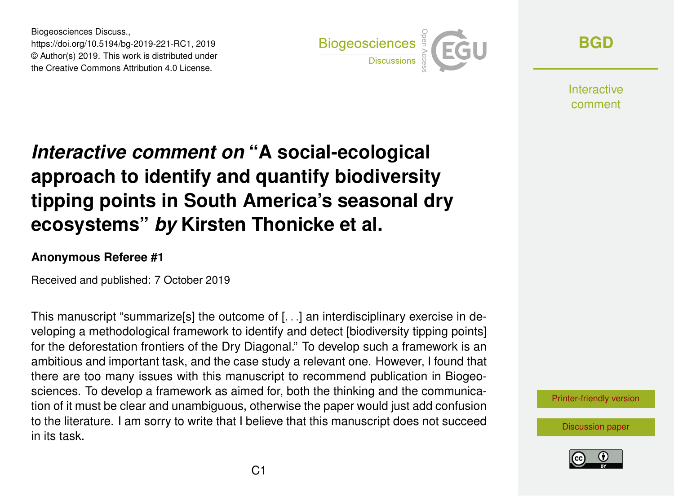Biogeosciences Discuss., https://doi.org/10.5194/bg-2019-221-RC1, 2019 © Author(s) 2019. This work is distributed under the Creative Commons Attribution 4.0 License.



**[BGD](https://www.biogeosciences-discuss.net/)**

**Interactive** comment

## *Interactive comment on* **"A social-ecological approach to identify and quantify biodiversity tipping points in South America's seasonal dry ecosystems"** *by* **Kirsten Thonicke et al.**

## **Anonymous Referee #1**

Received and published: 7 October 2019

This manuscript "summarize[s] the outcome of [...] an interdisciplinary exercise in developing a methodological framework to identify and detect [biodiversity tipping points] for the deforestation frontiers of the Dry Diagonal." To develop such a framework is an ambitious and important task, and the case study a relevant one. However, I found that there are too many issues with this manuscript to recommend publication in Biogeosciences. To develop a framework as aimed for, both the thinking and the communication of it must be clear and unambiguous, otherwise the paper would just add confusion to the literature. I am sorry to write that I believe that this manuscript does not succeed in its task.

[Printer-friendly version](https://www.biogeosciences-discuss.net/bg-2019-221/bg-2019-221-RC1-print.pdf)

[Discussion paper](https://www.biogeosciences-discuss.net/bg-2019-221)

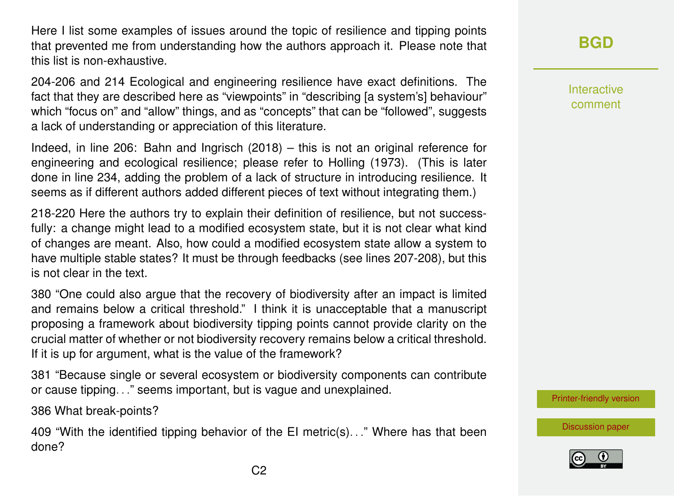Here I list some examples of issues around the topic of resilience and tipping points that prevented me from understanding how the authors approach it. Please note that this list is non-exhaustive.

204-206 and 214 Ecological and engineering resilience have exact definitions. The fact that they are described here as "viewpoints" in "describing [a system's] behaviour" which "focus on" and "allow" things, and as "concepts" that can be "followed", suggests a lack of understanding or appreciation of this literature.

Indeed, in line 206: Bahn and Ingrisch (2018) – this is not an original reference for engineering and ecological resilience; please refer to Holling (1973). (This is later done in line 234, adding the problem of a lack of structure in introducing resilience. It seems as if different authors added different pieces of text without integrating them.)

218-220 Here the authors try to explain their definition of resilience, but not successfully: a change might lead to a modified ecosystem state, but it is not clear what kind of changes are meant. Also, how could a modified ecosystem state allow a system to have multiple stable states? It must be through feedbacks (see lines 207-208), but this is not clear in the text.

380 "One could also argue that the recovery of biodiversity after an impact is limited and remains below a critical threshold." I think it is unacceptable that a manuscript proposing a framework about biodiversity tipping points cannot provide clarity on the crucial matter of whether or not biodiversity recovery remains below a critical threshold. If it is up for argument, what is the value of the framework?

381 "Because single or several ecosystem or biodiversity components can contribute or cause tipping. . ." seems important, but is vague and unexplained.

386 What break-points?

409 "With the identified tipping behavior of the EI metric(s). . ." Where has that been done?

**[BGD](https://www.biogeosciences-discuss.net/)**

Interactive comment

[Printer-friendly version](https://www.biogeosciences-discuss.net/bg-2019-221/bg-2019-221-RC1-print.pdf)

[Discussion paper](https://www.biogeosciences-discuss.net/bg-2019-221)

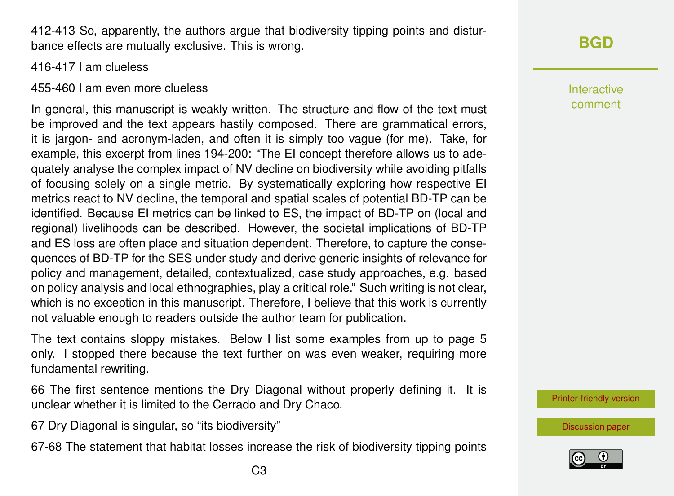412-413 So, apparently, the authors argue that biodiversity tipping points and disturbance effects are mutually exclusive. This is wrong.

416-417 I am clueless

455-460 I am even more clueless

In general, this manuscript is weakly written. The structure and flow of the text must be improved and the text appears hastily composed. There are grammatical errors, it is jargon- and acronym-laden, and often it is simply too vague (for me). Take, for example, this excerpt from lines 194-200: "The EI concept therefore allows us to adequately analyse the complex impact of NV decline on biodiversity while avoiding pitfalls of focusing solely on a single metric. By systematically exploring how respective EI metrics react to NV decline, the temporal and spatial scales of potential BD-TP can be identified. Because EI metrics can be linked to ES, the impact of BD-TP on (local and regional) livelihoods can be described. However, the societal implications of BD-TP and ES loss are often place and situation dependent. Therefore, to capture the consequences of BD-TP for the SES under study and derive generic insights of relevance for policy and management, detailed, contextualized, case study approaches, e.g. based on policy analysis and local ethnographies, play a critical role." Such writing is not clear, which is no exception in this manuscript. Therefore, I believe that this work is currently not valuable enough to readers outside the author team for publication.

The text contains sloppy mistakes. Below I list some examples from up to page 5 only. I stopped there because the text further on was even weaker, requiring more fundamental rewriting.

66 The first sentence mentions the Dry Diagonal without properly defining it. It is unclear whether it is limited to the Cerrado and Dry Chaco.

67 Dry Diagonal is singular, so "its biodiversity"

67-68 The statement that habitat losses increase the risk of biodiversity tipping points

Interactive comment

[Printer-friendly version](https://www.biogeosciences-discuss.net/bg-2019-221/bg-2019-221-RC1-print.pdf)

[Discussion paper](https://www.biogeosciences-discuss.net/bg-2019-221)